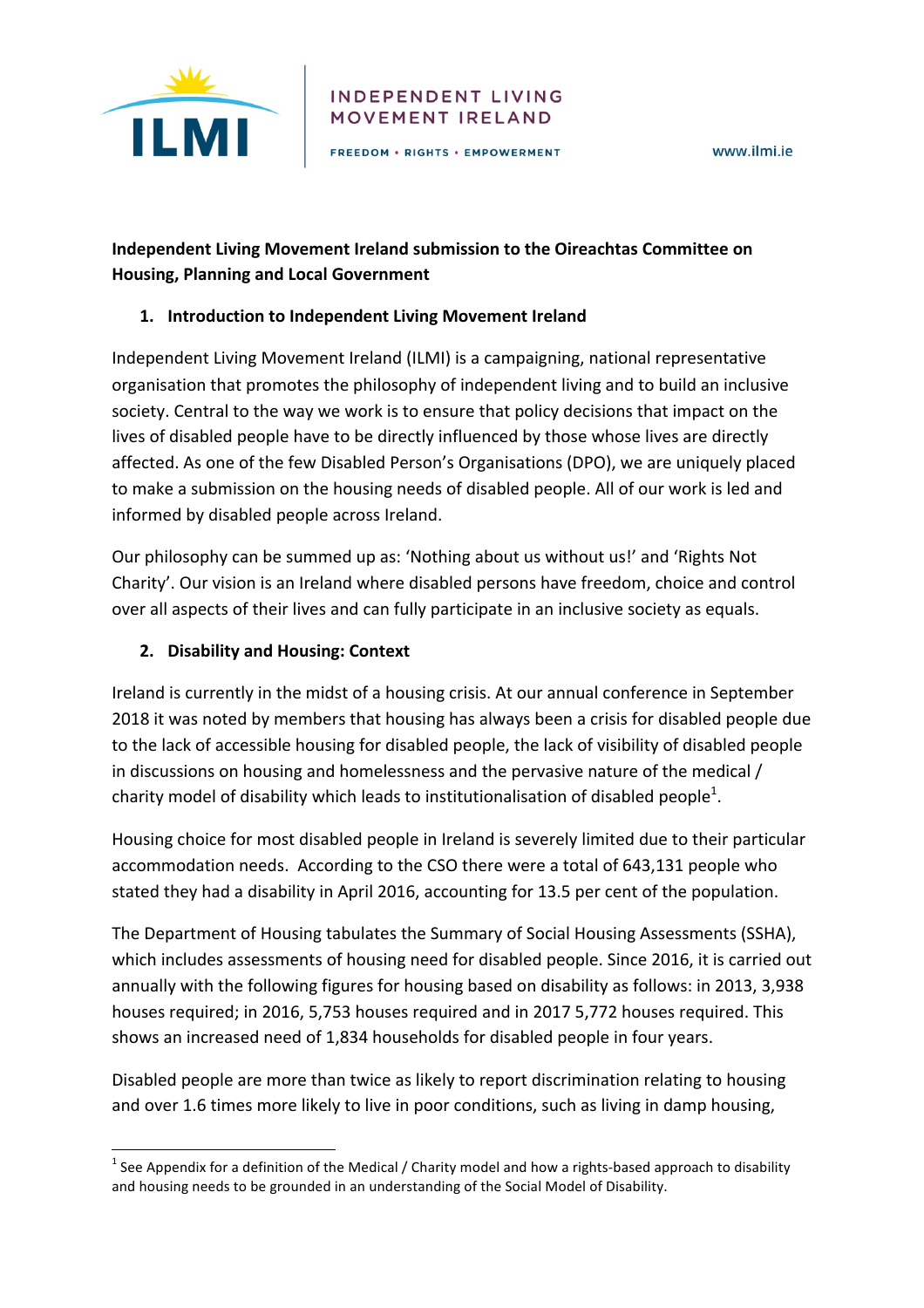

#### **INDEPENDENT LIVING** MOVEMENT IRELAND

FREEDOM . RIGHTS . EMPOWERMENT

# **Independent Living Movement Ireland submission to the Oireachtas Committee on Housing, Planning and Local Government**

### 1. **Introduction to Independent Living Movement Ireland**

Independent Living Movement Ireland (ILMI) is a campaigning, national representative organisation that promotes the philosophy of independent living and to build an inclusive society. Central to the way we work is to ensure that policy decisions that impact on the lives of disabled people have to be directly influenced by those whose lives are directly affected. As one of the few Disabled Person's Organisations (DPO), we are uniquely placed to make a submission on the housing needs of disabled people. All of our work is led and informed by disabled people across Ireland.

Our philosophy can be summed up as: 'Nothing about us without us!' and 'Rights Not Charity'. Our vision is an Ireland where disabled persons have freedom, choice and control over all aspects of their lives and can fully participate in an inclusive society as equals.

## **2. Disability and Housing: Context**

<u> 1989 - Jan Samuel Barbara, margaret e</u>

Ireland is currently in the midst of a housing crisis. At our annual conference in September 2018 it was noted by members that housing has always been a crisis for disabled people due to the lack of accessible housing for disabled people, the lack of visibility of disabled people in discussions on housing and homelessness and the pervasive nature of the medical / charity model of disability which leads to institutionalisation of disabled people<sup>1</sup>.

Housing choice for most disabled people in Ireland is severely limited due to their particular accommodation needs. According to the CSO there were a total of 643,131 people who stated they had a disability in April 2016, accounting for 13.5 per cent of the population.

The Department of Housing tabulates the Summary of Social Housing Assessments (SSHA), which includes assessments of housing need for disabled people. Since 2016, it is carried out annually with the following figures for housing based on disability as follows: in 2013, 3,938 houses required; in 2016, 5,753 houses required and in 2017 5,772 houses required. This shows an increased need of 1,834 households for disabled people in four years.

Disabled people are more than twice as likely to report discrimination relating to housing and over 1.6 times more likely to live in poor conditions, such as living in damp housing,

 $1$  See Appendix for a definition of the Medical / Charity model and how a rights-based approach to disability and housing needs to be grounded in an understanding of the Social Model of Disability.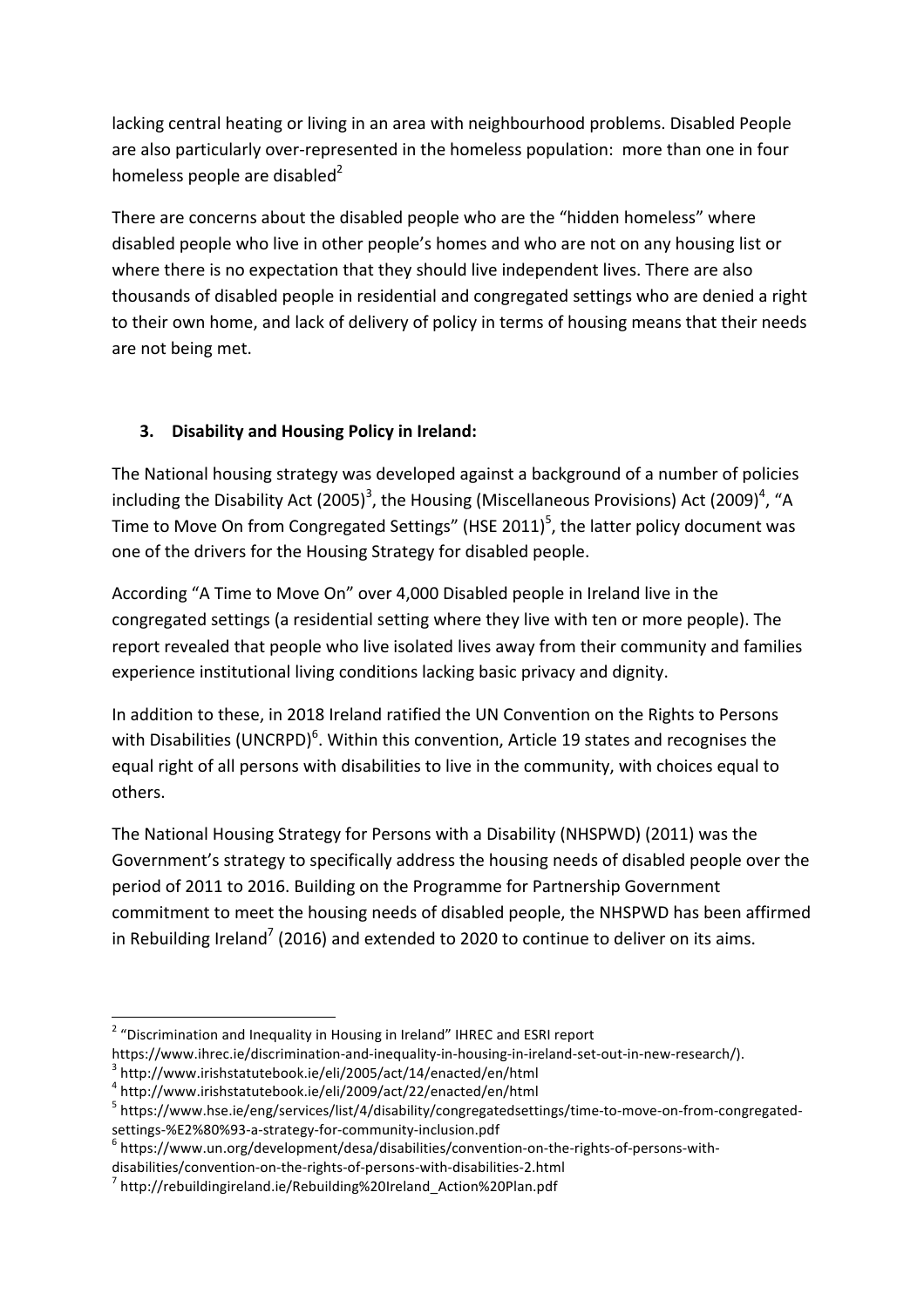lacking central heating or living in an area with neighbourhood problems. Disabled People are also particularly over-represented in the homeless population: more than one in four homeless people are disabled<sup>2</sup>

There are concerns about the disabled people who are the "hidden homeless" where disabled people who live in other people's homes and who are not on any housing list or where there is no expectation that they should live independent lives. There are also thousands of disabled people in residential and congregated settings who are denied a right to their own home, and lack of delivery of policy in terms of housing means that their needs are not being met.

# **3.** Disability and Housing Policy in Ireland:

The National housing strategy was developed against a background of a number of policies including the Disability Act (2005)<sup>3</sup>, the Housing (Miscellaneous Provisions) Act (2009)<sup>4</sup>, "A Time to Move On from Congregated Settings" (HSE 2011)<sup>5</sup>, the latter policy document was one of the drivers for the Housing Strategy for disabled people.

According "A Time to Move On" over 4,000 Disabled people in Ireland live in the congregated settings (a residential setting where they live with ten or more people). The report revealed that people who live isolated lives away from their community and families experience institutional living conditions lacking basic privacy and dignity.

In addition to these, in 2018 Ireland ratified the UN Convention on the Rights to Persons with Disabilities (UNCRPD)<sup>6</sup>. Within this convention, Article 19 states and recognises the equal right of all persons with disabilities to live in the community, with choices equal to others. 

The National Housing Strategy for Persons with a Disability (NHSPWD) (2011) was the Government's strategy to specifically address the housing needs of disabled people over the period of 2011 to 2016. Building on the Programme for Partnership Government commitment to meet the housing needs of disabled people, the NHSPWD has been affirmed in Rebuilding Ireland<sup>7</sup> (2016) and extended to 2020 to continue to deliver on its aims.

https://www.ihrec.ie/discrimination-and-inequality-in-housing-in-ireland-set-out-in-new-research/).<br><sup>3</sup> http://www.irishstatutebook.ie/eli/2005/act/14/enacted/en/html

 $2$  "Discrimination and Inequality in Housing in Ireland" IHREC and ESRI report

<sup>4</sup> http://www.irishstatutebook.ie/eli/2009/act/22/enacted/en/html

<sup>5</sup> https://www.hse.ie/eng/services/list/4/disability/congregatedsettings/time-to-move-on-from-congregatedsettings-%E2%80%93-a-strategy-for-community-inclusion.pdf<br><sup>6</sup> https://www.un.org/development/desa/disabilities/convention-on-the-rights-of-persons-with-

disabilities/convention-on-the-rights-of-persons-with-disabilities-2.html<br><sup>7</sup> http://rebuildingireland.ie/Rebuilding%20Ireland\_Action%20Plan.pdf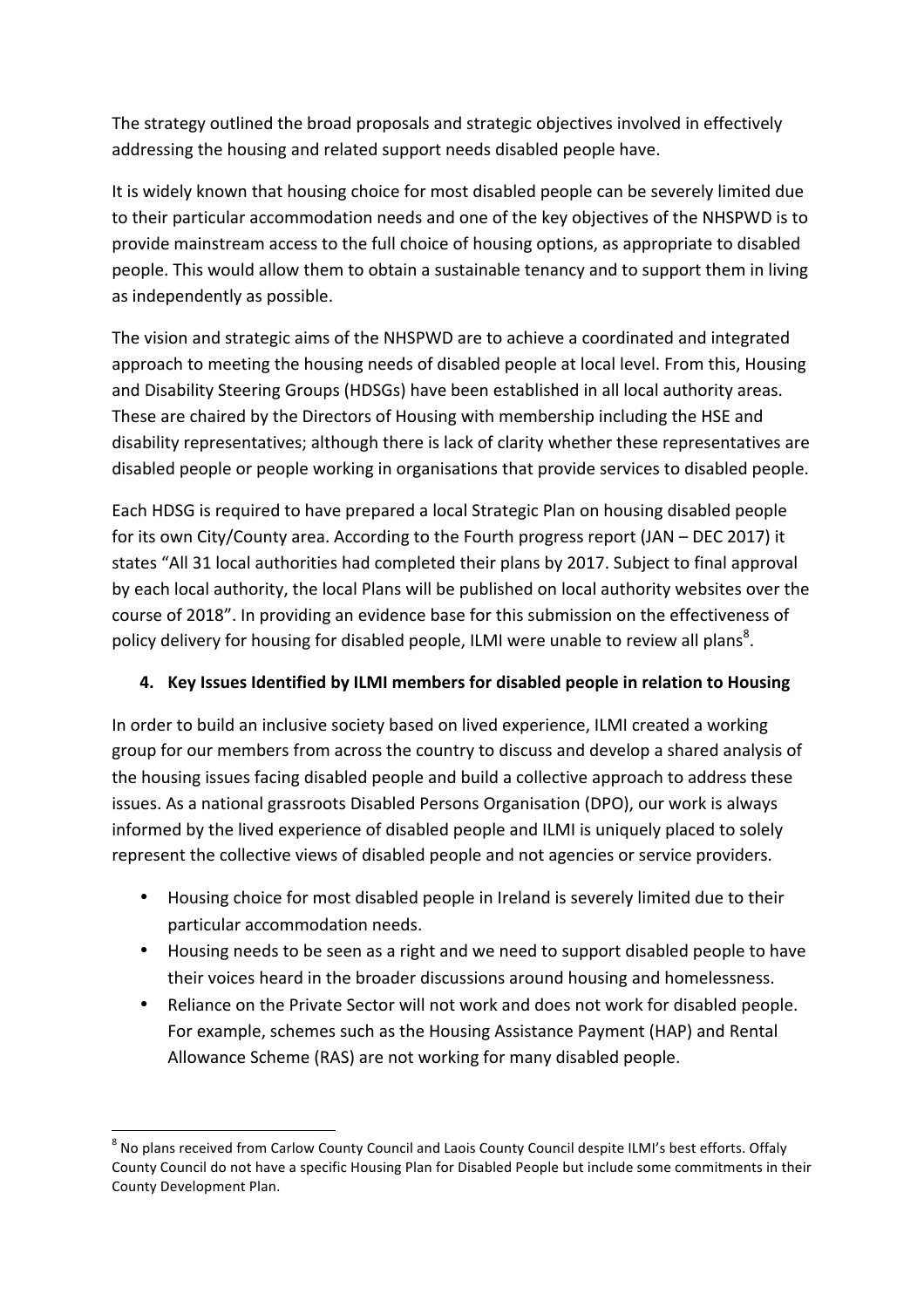The strategy outlined the broad proposals and strategic objectives involved in effectively addressing the housing and related support needs disabled people have.

It is widely known that housing choice for most disabled people can be severely limited due to their particular accommodation needs and one of the key objectives of the NHSPWD is to provide mainstream access to the full choice of housing options, as appropriate to disabled people. This would allow them to obtain a sustainable tenancy and to support them in living as independently as possible.

The vision and strategic aims of the NHSPWD are to achieve a coordinated and integrated approach to meeting the housing needs of disabled people at local level. From this, Housing and Disability Steering Groups (HDSGs) have been established in all local authority areas. These are chaired by the Directors of Housing with membership including the HSE and disability representatives; although there is lack of clarity whether these representatives are disabled people or people working in organisations that provide services to disabled people.

Each HDSG is required to have prepared a local Strategic Plan on housing disabled people for its own City/County area. According to the Fourth progress report (JAN – DEC 2017) it states "All 31 local authorities had completed their plans by 2017. Subject to final approval by each local authority, the local Plans will be published on local authority websites over the course of 2018". In providing an evidence base for this submission on the effectiveness of policy delivery for housing for disabled people, ILMI were unable to review all plans<sup>8</sup>.

### 4. Key Issues Identified by ILMI members for disabled people in relation to Housing

In order to build an inclusive society based on lived experience, ILMI created a working group for our members from across the country to discuss and develop a shared analysis of the housing issues facing disabled people and build a collective approach to address these issues. As a national grassroots Disabled Persons Organisation (DPO), our work is always informed by the lived experience of disabled people and ILMI is uniquely placed to solely represent the collective views of disabled people and not agencies or service providers.

- Housing choice for most disabled people in Ireland is severely limited due to their particular accommodation needs.
- Housing needs to be seen as a right and we need to support disabled people to have their voices heard in the broader discussions around housing and homelessness.
- Reliance on the Private Sector will not work and does not work for disabled people. For example, schemes such as the Housing Assistance Payment (HAP) and Rental Allowance Scheme (RAS) are not working for many disabled people.

 $8$  No plans received from Carlow County Council and Laois County Council despite ILMI's best efforts. Offaly County Council do not have a specific Housing Plan for Disabled People but include some commitments in their County Development Plan.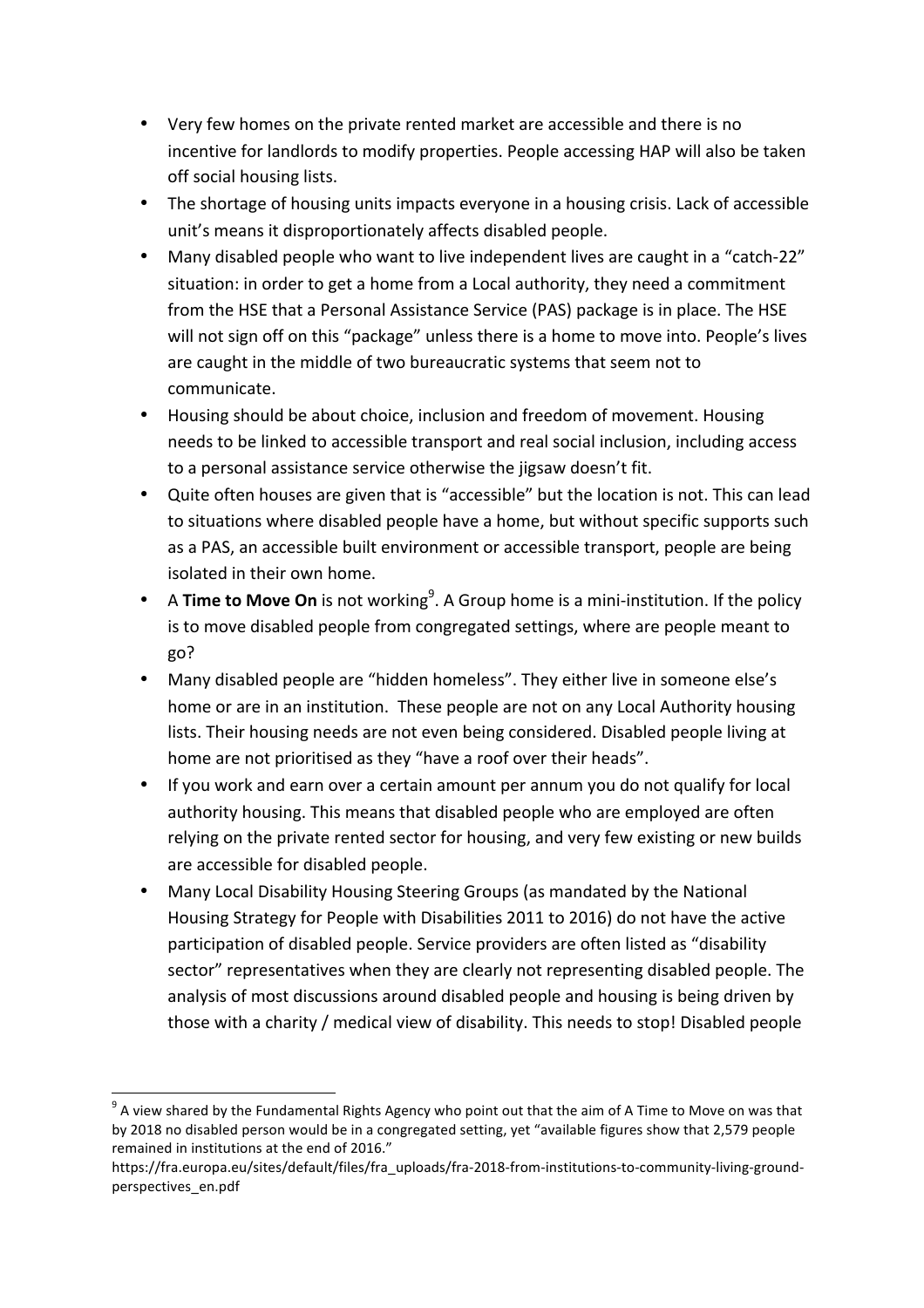- Very few homes on the private rented market are accessible and there is no incentive for landlords to modify properties. People accessing HAP will also be taken off social housing lists.
- The shortage of housing units impacts everyone in a housing crisis. Lack of accessible unit's means it disproportionately affects disabled people.
- Many disabled people who want to live independent lives are caught in a "catch-22" situation: in order to get a home from a Local authority, they need a commitment from the HSE that a Personal Assistance Service (PAS) package is in place. The HSE will not sign off on this "package" unless there is a home to move into. People's lives are caught in the middle of two bureaucratic systems that seem not to communicate.
- Housing should be about choice, inclusion and freedom of movement. Housing needs to be linked to accessible transport and real social inclusion, including access to a personal assistance service otherwise the jigsaw doesn't fit.
- Quite often houses are given that is "accessible" but the location is not. This can lead to situations where disabled people have a home, but without specific supports such as a PAS, an accessible built environment or accessible transport, people are being isolated in their own home.
- A Time to Move On is not working<sup>9</sup>. A Group home is a mini-institution. If the policy is to move disabled people from congregated settings, where are people meant to go?
- Many disabled people are "hidden homeless". They either live in someone else's home or are in an institution. These people are not on any Local Authority housing lists. Their housing needs are not even being considered. Disabled people living at home are not prioritised as they "have a roof over their heads".
- If you work and earn over a certain amount per annum you do not qualify for local authority housing. This means that disabled people who are employed are often relying on the private rented sector for housing, and very few existing or new builds are accessible for disabled people.
- Many Local Disability Housing Steering Groups (as mandated by the National Housing Strategy for People with Disabilities 2011 to 2016) do not have the active participation of disabled people. Service providers are often listed as "disability sector" representatives when they are clearly not representing disabled people. The analysis of most discussions around disabled people and housing is being driven by those with a charity / medical view of disability. This needs to stop! Disabled people

 $9$  A view shared by the Fundamental Rights Agency who point out that the aim of A Time to Move on was that by 2018 no disabled person would be in a congregated setting, yet "available figures show that 2,579 people remained in institutions at the end of 2016."

https://fra.europa.eu/sites/default/files/fra\_uploads/fra-2018-from-institutions-to-community-living-groundperspectives\_en.pdf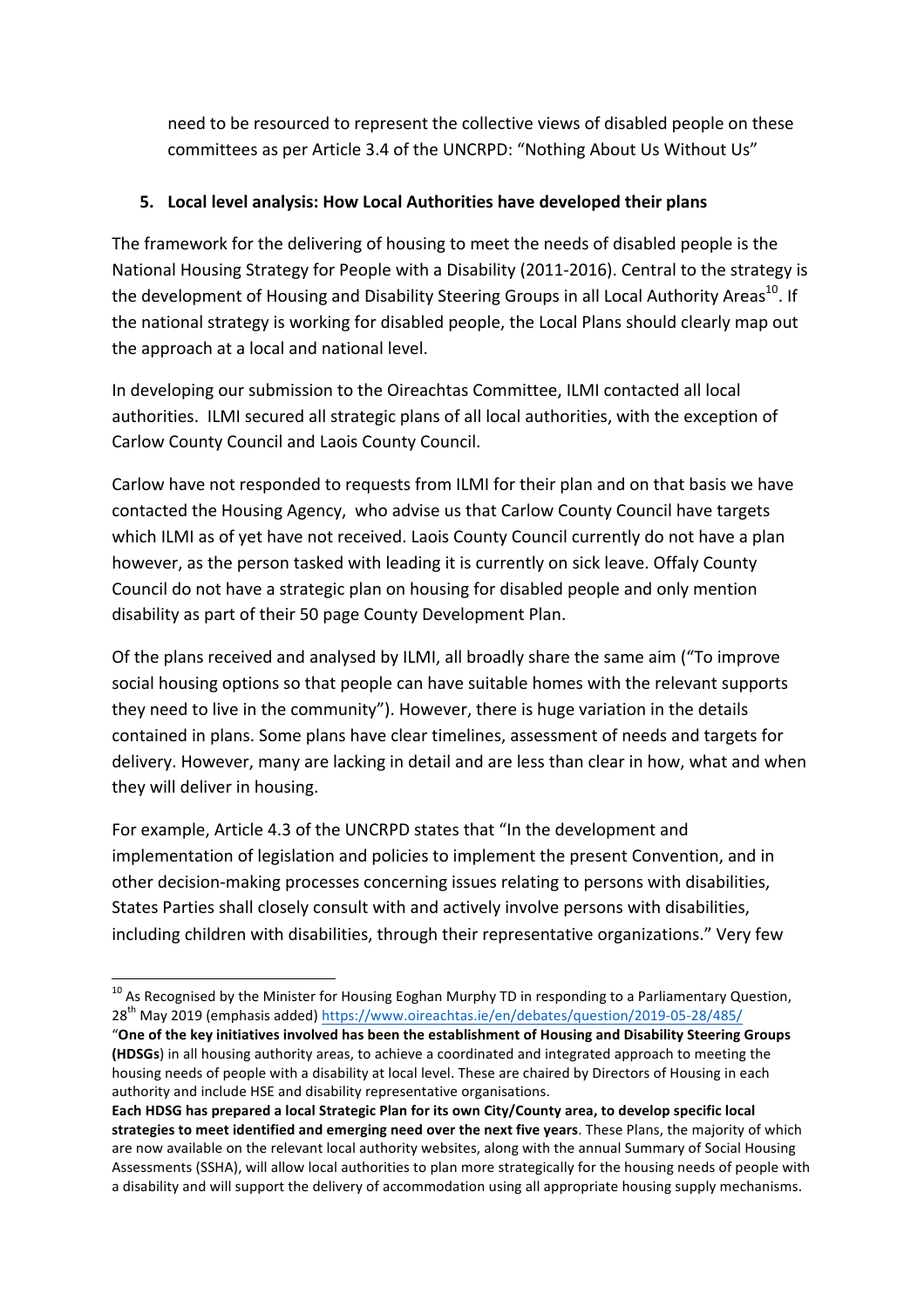need to be resourced to represent the collective views of disabled people on these committees as per Article 3.4 of the UNCRPD: "Nothing About Us Without Us"

### **5.** Local level analysis: How Local Authorities have developed their plans

The framework for the delivering of housing to meet the needs of disabled people is the National Housing Strategy for People with a Disability (2011-2016). Central to the strategy is the development of Housing and Disability Steering Groups in all Local Authority Areas<sup>10</sup>. If the national strategy is working for disabled people, the Local Plans should clearly map out the approach at a local and national level.

In developing our submission to the Oireachtas Committee, ILMI contacted all local authorities. ILMI secured all strategic plans of all local authorities, with the exception of Carlow County Council and Laois County Council.

Carlow have not responded to requests from ILMI for their plan and on that basis we have contacted the Housing Agency, who advise us that Carlow County Council have targets which ILMI as of yet have not received. Laois County Council currently do not have a plan however, as the person tasked with leading it is currently on sick leave. Offaly County Council do not have a strategic plan on housing for disabled people and only mention disability as part of their 50 page County Development Plan.

Of the plans received and analysed by ILMI, all broadly share the same aim ("To improve social housing options so that people can have suitable homes with the relevant supports they need to live in the community"). However, there is huge variation in the details contained in plans. Some plans have clear timelines, assessment of needs and targets for delivery. However, many are lacking in detail and are less than clear in how, what and when they will deliver in housing.

For example, Article 4.3 of the UNCRPD states that "In the development and implementation of legislation and policies to implement the present Convention, and in other decision-making processes concerning issues relating to persons with disabilities, States Parties shall closely consult with and actively involve persons with disabilities, including children with disabilities, through their representative organizations." Very few

 $^{10}$  As Recognised by the Minister for Housing Eoghan Murphy TD in responding to a Parliamentary Question, 28<sup>th</sup> May 2019 (emphasis added) https://www.oireachtas.ie/en/debates/question/2019-05-28/485/

<sup>&</sup>quot;One of the key initiatives involved has been the establishment of Housing and Disability Steering Groups **(HDSGs)** in all housing authority areas, to achieve a coordinated and integrated approach to meeting the housing needs of people with a disability at local level. These are chaired by Directors of Housing in each authority and include HSE and disability representative organisations.

Each HDSG has prepared a local Strategic Plan for its own City/County area, to develop specific local strategies to meet identified and emerging need over the next five years. These Plans, the majority of which are now available on the relevant local authority websites, along with the annual Summary of Social Housing Assessments (SSHA), will allow local authorities to plan more strategically for the housing needs of people with a disability and will support the delivery of accommodation using all appropriate housing supply mechanisms.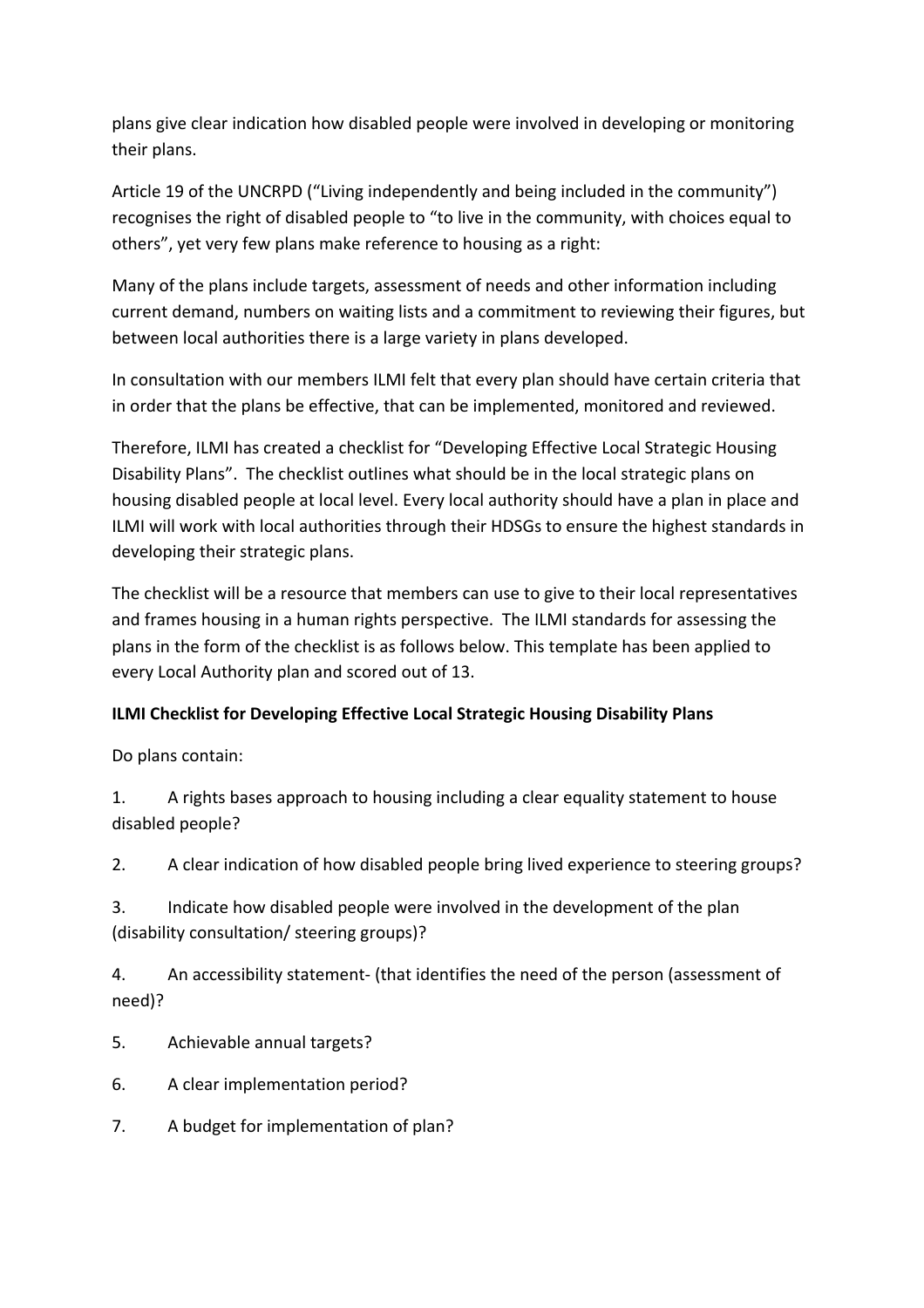plans give clear indication how disabled people were involved in developing or monitoring their plans.

Article 19 of the UNCRPD ("Living independently and being included in the community") recognises the right of disabled people to "to live in the community, with choices equal to others", yet very few plans make reference to housing as a right:

Many of the plans include targets, assessment of needs and other information including current demand, numbers on waiting lists and a commitment to reviewing their figures, but between local authorities there is a large variety in plans developed.

In consultation with our members ILMI felt that every plan should have certain criteria that in order that the plans be effective, that can be implemented, monitored and reviewed.

Therefore, ILMI has created a checklist for "Developing Effective Local Strategic Housing Disability Plans". The checklist outlines what should be in the local strategic plans on housing disabled people at local level. Every local authority should have a plan in place and ILMI will work with local authorities through their HDSGs to ensure the highest standards in developing their strategic plans.

The checklist will be a resource that members can use to give to their local representatives and frames housing in a human rights perspective. The ILMI standards for assessing the plans in the form of the checklist is as follows below. This template has been applied to every Local Authority plan and scored out of 13.

## **ILMI Checklist for Developing Effective Local Strategic Housing Disability Plans**

Do plans contain:

1. A rights bases approach to housing including a clear equality statement to house disabled people?

2. A clear indication of how disabled people bring lived experience to steering groups?

3. Indicate how disabled people were involved in the development of the plan (disability consultation/ steering groups)?

4. An accessibility statement- (that identifies the need of the person (assessment of need)?

- 5. Achievable annual targets?
- 6. A clear implementation period?
- 7. A budget for implementation of plan?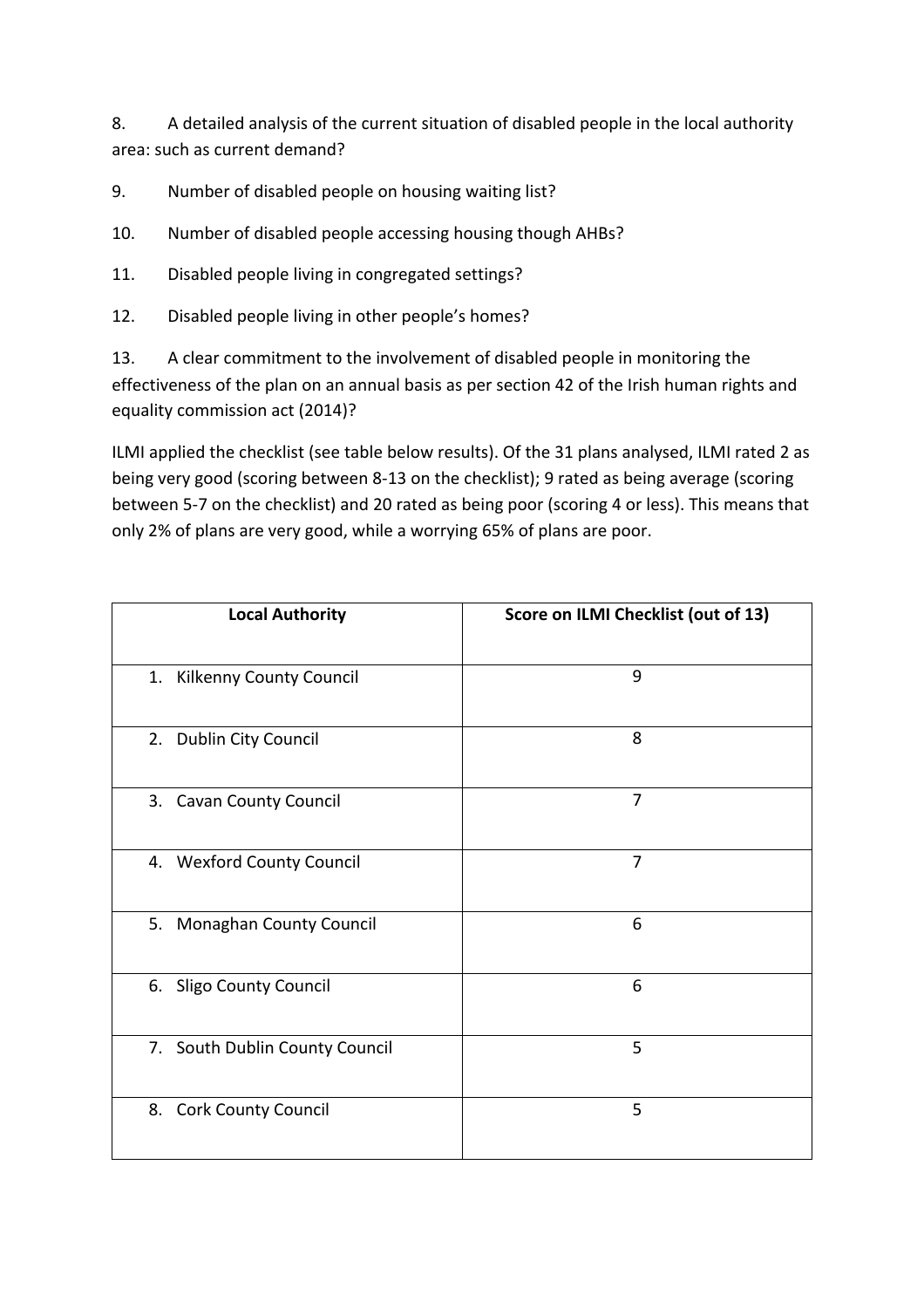8. A detailed analysis of the current situation of disabled people in the local authority area: such as current demand?

9. Number of disabled people on housing waiting list?

10. Number of disabled people accessing housing though AHBs?

- 11. Disabled people living in congregated settings?
- 12. Disabled people living in other people's homes?

13. A clear commitment to the involvement of disabled people in monitoring the effectiveness of the plan on an annual basis as per section 42 of the Irish human rights and equality commission act (2014)?

ILMI applied the checklist (see table below results). Of the 31 plans analysed, ILMI rated 2 as being very good (scoring between 8-13 on the checklist); 9 rated as being average (scoring between 5-7 on the checklist) and 20 rated as being poor (scoring 4 or less). This means that only 2% of plans are very good, while a worrying 65% of plans are poor.

| <b>Local Authority</b>         | Score on ILMI Checklist (out of 13) |
|--------------------------------|-------------------------------------|
| 1. Kilkenny County Council     | 9                                   |
| 2. Dublin City Council         | 8                                   |
| 3. Cavan County Council        | 7                                   |
| 4. Wexford County Council      | $\overline{7}$                      |
| 5. Monaghan County Council     | 6                                   |
| 6. Sligo County Council        | 6                                   |
| 7. South Dublin County Council | 5                                   |
| 8. Cork County Council         | 5                                   |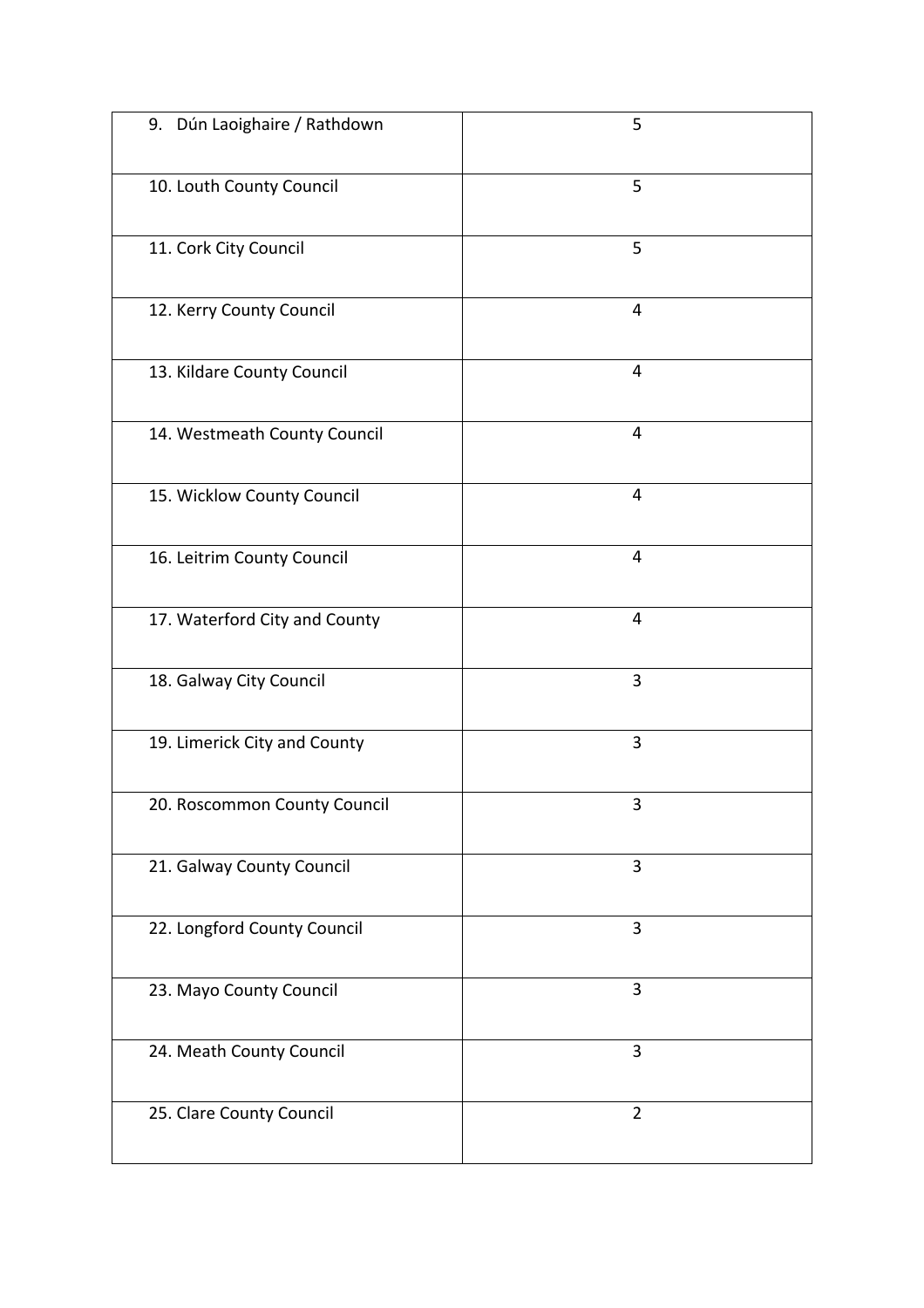| 9. Dún Laoighaire / Rathdown  | 5              |
|-------------------------------|----------------|
| 10. Louth County Council      | 5              |
| 11. Cork City Council         | 5              |
| 12. Kerry County Council      | 4              |
| 13. Kildare County Council    | $\overline{4}$ |
| 14. Westmeath County Council  | 4              |
| 15. Wicklow County Council    | 4              |
| 16. Leitrim County Council    | $\overline{4}$ |
| 17. Waterford City and County | $\overline{4}$ |
| 18. Galway City Council       | 3              |
| 19. Limerick City and County  | 3              |
| 20. Roscommon County Council  | 3              |
| 21. Galway County Council     | 3              |
| 22. Longford County Council   | 3              |
| 23. Mayo County Council       | 3              |
| 24. Meath County Council      | 3              |
| 25. Clare County Council      | $\overline{2}$ |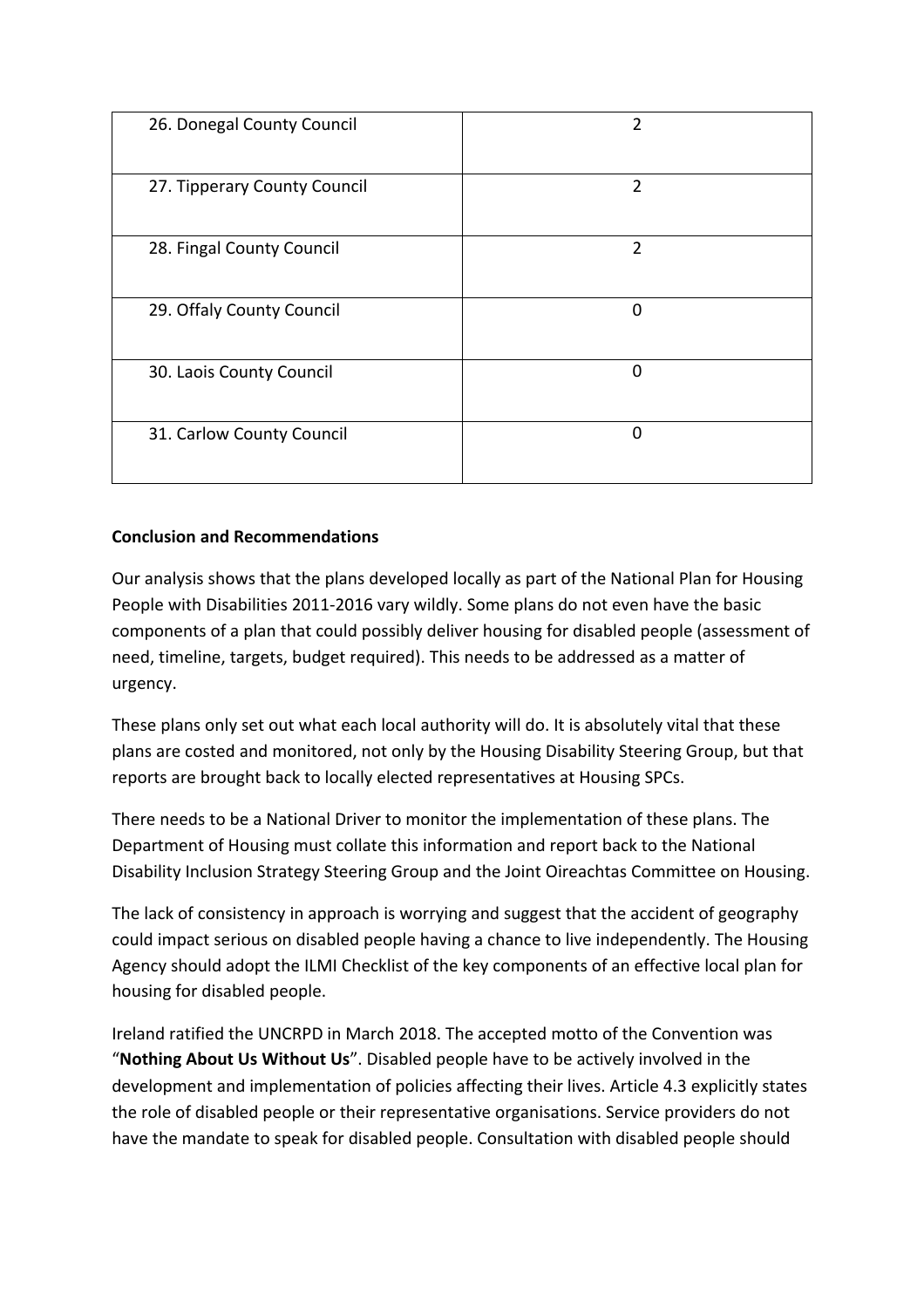| 26. Donegal County Council   | 2              |
|------------------------------|----------------|
| 27. Tipperary County Council | $\overline{2}$ |
| 28. Fingal County Council    | $\overline{2}$ |
| 29. Offaly County Council    | $\mathbf 0$    |
| 30. Laois County Council     | $\Omega$       |
| 31. Carlow County Council    | O              |

### **Conclusion and Recommendations**

Our analysis shows that the plans developed locally as part of the National Plan for Housing People with Disabilities 2011-2016 vary wildly. Some plans do not even have the basic components of a plan that could possibly deliver housing for disabled people (assessment of need, timeline, targets, budget required). This needs to be addressed as a matter of urgency. 

These plans only set out what each local authority will do. It is absolutely vital that these plans are costed and monitored, not only by the Housing Disability Steering Group, but that reports are brought back to locally elected representatives at Housing SPCs.

There needs to be a National Driver to monitor the implementation of these plans. The Department of Housing must collate this information and report back to the National Disability Inclusion Strategy Steering Group and the Joint Oireachtas Committee on Housing.

The lack of consistency in approach is worrying and suggest that the accident of geography could impact serious on disabled people having a chance to live independently. The Housing Agency should adopt the ILMI Checklist of the key components of an effective local plan for housing for disabled people.

Ireland ratified the UNCRPD in March 2018. The accepted motto of the Convention was "**Nothing About Us Without Us**". Disabled people have to be actively involved in the development and implementation of policies affecting their lives. Article 4.3 explicitly states the role of disabled people or their representative organisations. Service providers do not have the mandate to speak for disabled people. Consultation with disabled people should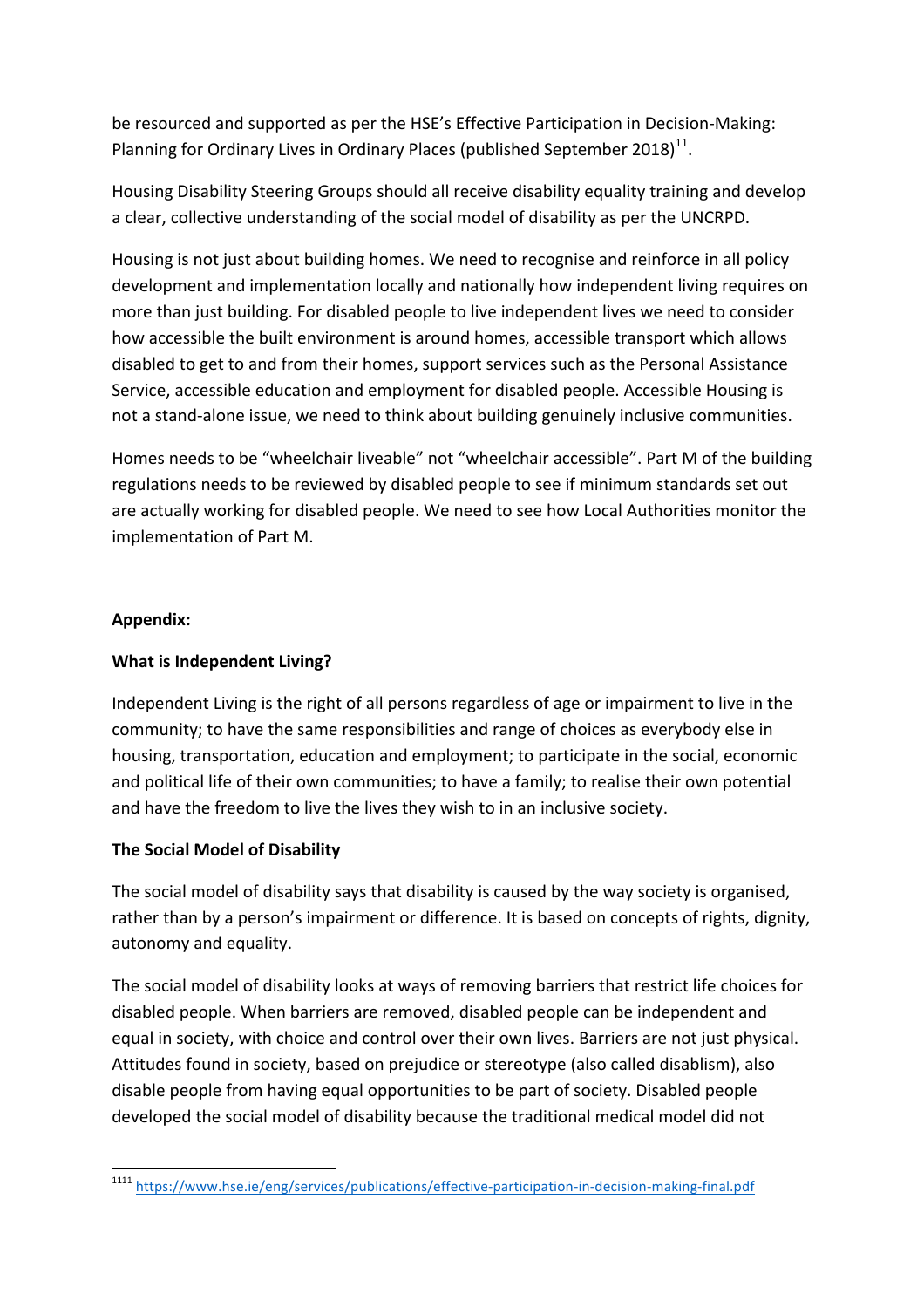be resourced and supported as per the HSE's Effective Participation in Decision-Making: Planning for Ordinary Lives in Ordinary Places (published September 2018)<sup>11</sup>.

Housing Disability Steering Groups should all receive disability equality training and develop a clear, collective understanding of the social model of disability as per the UNCRPD.

Housing is not just about building homes. We need to recognise and reinforce in all policy development and implementation locally and nationally how independent living requires on more than just building. For disabled people to live independent lives we need to consider how accessible the built environment is around homes, accessible transport which allows disabled to get to and from their homes, support services such as the Personal Assistance Service, accessible education and employment for disabled people. Accessible Housing is not a stand-alone issue, we need to think about building genuinely inclusive communities.

Homes needs to be "wheelchair liveable" not "wheelchair accessible". Part M of the building regulations needs to be reviewed by disabled people to see if minimum standards set out are actually working for disabled people. We need to see how Local Authorities monitor the implementation of Part M.

### **Appendix:**

### **What is Independent Living?**

Independent Living is the right of all persons regardless of age or impairment to live in the community; to have the same responsibilities and range of choices as everybody else in housing, transportation, education and employment; to participate in the social, economic and political life of their own communities; to have a family; to realise their own potential and have the freedom to live the lives they wish to in an inclusive society.

### **The Social Model of Disability**

The social model of disability says that disability is caused by the way society is organised, rather than by a person's impairment or difference. It is based on concepts of rights, dignity, autonomy and equality.

The social model of disability looks at ways of removing barriers that restrict life choices for disabled people. When barriers are removed, disabled people can be independent and equal in society, with choice and control over their own lives. Barriers are not just physical. Attitudes found in society, based on prejudice or stereotype (also called disablism), also disable people from having equal opportunities to be part of society. Disabled people developed the social model of disability because the traditional medical model did not

<sup>&</sup>lt;u> 1989 - Jan Samuel Barbara, margaret e</u> <sup>1111</sup> https://www.hse.ie/eng/services/publications/effective-participation-in-decision-making-final.pdf